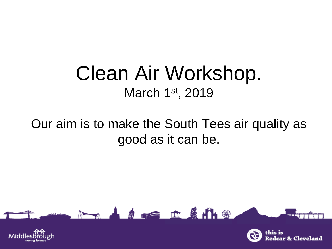### Clean Air Workshop. March 1st, 2019

### Our aim is to make the South Tees air quality as good as it can be.

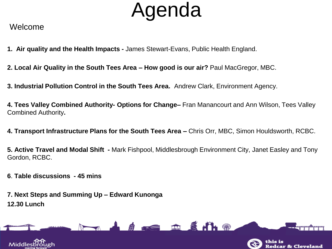## Agenda

#### Welcome

**1. Air quality and the Health Impacts -** James Stewart-Evans, Public Health England.

**2. Local Air Quality in the South Tees Area – How good is our air?** Paul MacGregor, MBC.

**3. Industrial Pollution Control in the South Tees Area.** Andrew Clark, Environment Agency.

**4. Tees Valley Combined Authority- Options for Change–** Fran Manancourt and Ann Wilson, Tees Valley Combined Authority**.** 

**4. Transport Infrastructure Plans for the South Tees Area –** Chris Orr, MBC, Simon Houldsworth, RCBC.

**5. Active Travel and Modal Shift -** Mark Fishpool, Middlesbrough Environment City, Janet Easley and Tony Gordon, RCBC.

**6**. **Table discussions - 45 mins**

**7. Next Steps and Summing Up – Edward Kunonga 12.30 Lunch**

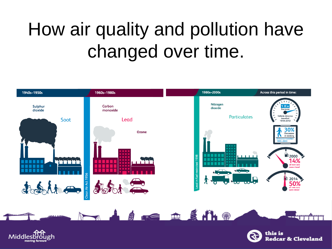## How air quality and pollution have changed over time.





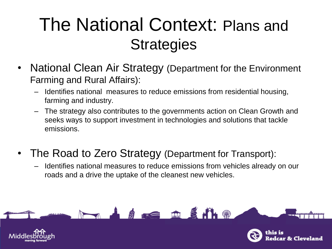## The National Context: Plans and **Strategies**

- National Clean Air Strategy (Department for the Environment Farming and Rural Affairs):
	- Identifies national measures to reduce emissions from residential housing, farming and industry.
	- The strategy also contributes to the governments action on Clean Growth and seeks ways to support investment in technologies and solutions that tackle emissions.
- The Road to Zero Strategy (Department for Transport):
	- Identifies national measures to reduce emissions from vehicles already on our roads and a drive the uptake of the cleanest new vehicles.